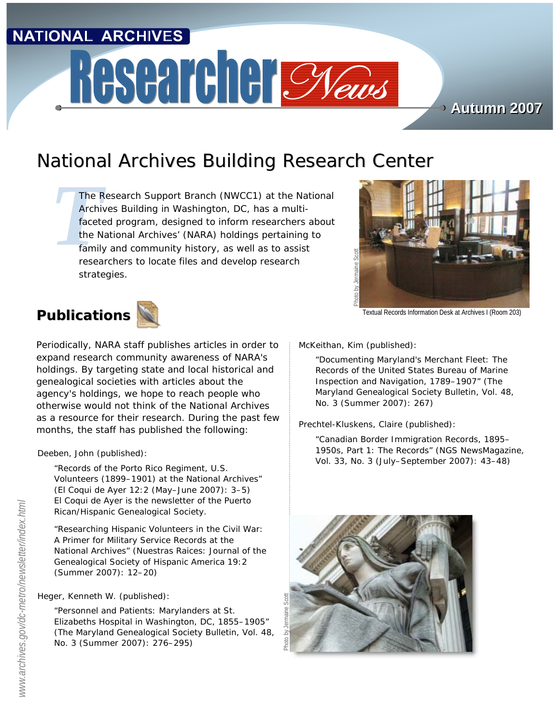# **NATIONAL ARCHIVES**

# Researcher Cyaus

**Autumn 2007 Autumn 2007**

# National Archives Building Research Center

The R<br>Archi<br>faceture<br>the N<br>family<br>resea *The Research Support Branch (NWCC1) at the National Archives Building in Washington, DC, has a multifaceted program, designed to inform researchers about the National Archives' (NARA) holdings pertaining to family and community history, as well as to assist researchers to locate files and develop research strategies.*



Textual Records Information Desk at Archives I (Room 203)



Periodically, NARA staff publishes articles in order to expand research community awareness of NARA's holdings. By targeting state and local historical and genealogical societies with articles about the agency's holdings, we hope to reach people who otherwise would not think of the National Archives as a resource for their research. During the past few months, the staff has published the following:

Deeben, John (published):

"Records of the Porto Rico Regiment, U.S. Volunteers (1899–1901) at the National Archives" (*El Coqui de Ayer* 12:2 (May–June 2007): 3–5) *El Coqui de Ayer* is the newsletter of the Puerto Rican/Hispanic Genealogical Society.

"Researching Hispanic Volunteers in the Civil War: A Primer for Military Service Records at the National Archives" (*Nuestras Raices: Journal of the Genealogical Society of Hispanic America* 19:2 (Summer 2007): 12–20)

### Heger, Kenneth W. (published):

"Personnel and Patients: Marylanders at St. Elizabeths Hospital in Washington, DC, 1855–1905" (*The Maryland Genealogical Society Bulletin*, Vol. 48, No. 3 (Summer 2007): 276–295)

McKeithan, Kim (published):

"Documenting Maryland's Merchant Fleet: The Records of the United States Bureau of Marine Inspection and Navigation, 1789–1907" (*The Maryland Genealogical Society Bulletin*, Vol. 48, No. 3 (Summer 2007): 267)

Prechtel-Kluskens, Claire (published):

"Canadian Border Immigration Records, 1895– 1950s, Part 1: The Records" (*NGS NewsMagazine*, Vol. 33, No. 3 (July–September 2007): 43–48)

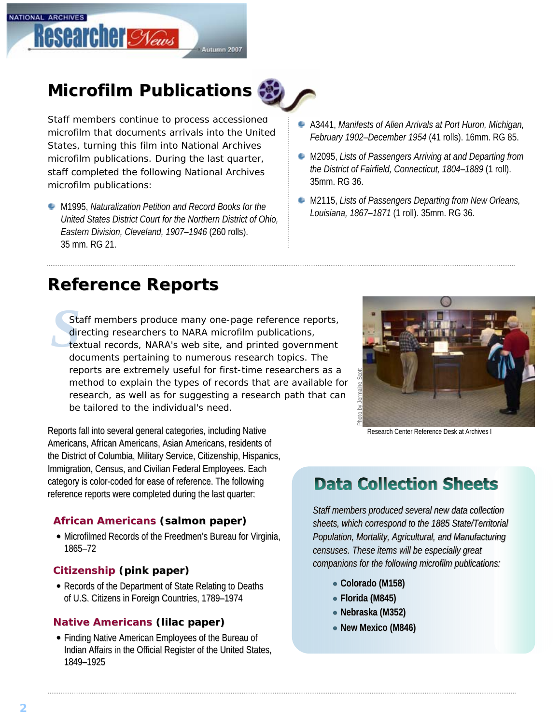

# **Microfilm Publications**



Staff members continue to process accessioned microfilm that documents arrivals into the United States, turning this film into National Archives microfilm publications. During the last quarter, staff completed the following National Archives microfilm publications:

- M1995, *Naturalization Petition and Record Books for the United States District Court for the Northern District of Ohio, Eastern Division, Cleveland, 1907–1946* (260 rolls). 35 mm. RG 21.
- A3441, *Manifests of Alien Arrivals at Port Huron, Michigan, February 1902–December 1954* (41 rolls). 16mm. RG 85.
- M2095, *Lists of Passengers Arriving at and Departing from the District of Fairfield, Connecticut, 1804–1889* (1 roll). 35mm. RG 36.
- M2115, *Lists of Passengers Departing from New Orleans, Louisiana, 1867–1871* (1 roll). 35mm. RG 36.

# **Reference Reports Reference Reports**

Sta<br>dir<br>de<br>de Staff members produce many one-page reference reports, directing researchers to NARA microfilm publications, textual records, NARA's web site, and printed government documents pertaining to numerous research topics. The reports are extremely useful for first-time researchers as a method to explain the types of records that are available for research, as well as for suggesting a research path that can be tailored to the individual's need.

Reports fall into several general categories, including Native Americans, African Americans, Asian Americans, residents of the District of Columbia, Military Service, Citizenship, Hispanics, Immigration, Census, and Civilian Federal Employees. Each category is color-coded for ease of reference. The following reference reports were completed during the last quarter:

### **African Americans (salmon paper)**

• Microfilmed Records of the Freedmen's Bureau for Virginia, 1865–72

### **Citizenship Citizenship (pink paper)**

• Records of the Department of State Relating to Deaths of U.S. Citizens in Foreign Countries, 1789-1974

### **Native Americans (lilac paper)**

• Finding Native American Employees of the Bureau of Indian Affairs in the Official Register of the United States, 1849–1925



Research Center Reference Desk at Archives I

# **Data Collection Sheets**

Staff members produced several new data collection sheets, which correspond to the 1885 State/Territorial *Population, Mortality, Agricultural, and Manufacturing*  Population, Mortality, Agricultural, and Manufacturing<br>censuses. These items will be especially great *companions for the following microfilm publications: companions for the following microfilm publications: following microfilm publications:*

- **Colorado (M158)**
- **Florida (M845) Florida (M845)**
- **Nebraska (M352) Nebraska (M352)**
- **New Mexico (M846) New Mexico (M846)**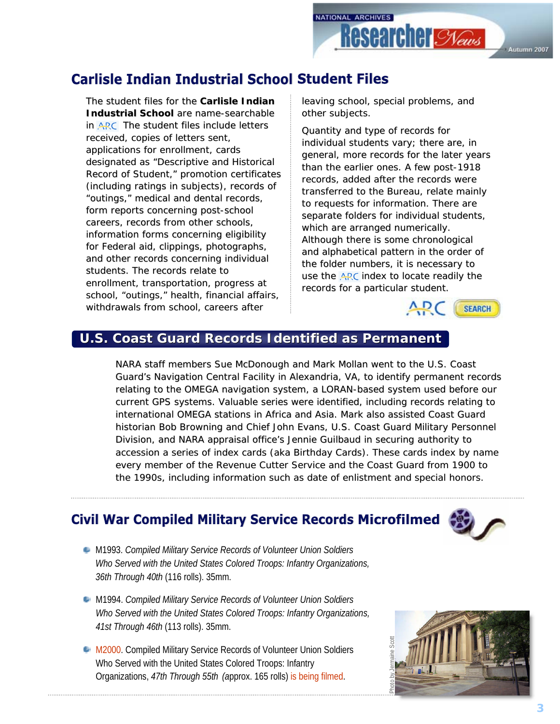

# **Carlisle Indian Industrial School Student Files**

The student files for the **Carlisle Indian Industrial School** are name-searchable in ARC. The student files include letters received, copies of letters sent, applications for enrollment, cards designated as "Descriptive and Historical Record of Student," promotion certificates (including ratings in subjects), records of (including ratings in subjects), records of "outings," medical and dental records, form reports concerning post-school careers, records from other schools, information forms concerning eligibility for Federal aid, clippings, photographs, and other records concerning individual students. The records relate to enrollment, transportation, progress at school, "outings," health, financial affairs, withdrawals from school, careers after

leaving school, special problems, and other subjects.

Quantity and type of records for individual students vary; there are, in general, more records for the later years than the earlier ones. A few post-1918 records, added after the records were transferred to the Bureau, relate mainly to requests for information. There are separate folders for individual students, which are arranged numerically. Although there is some chronological and alphabetical pattern in the order of the folder numbers, it is necessary to use the  $ARC$  index to locate readily the records for a particular student.



### **U.S. Coast Guard Records Identified as Permanent**

NARA staff members Sue McDonough and Mark Mollan went to the U.S. Coast Guard's Navigation Central Facility in Alexandria, VA, to identify permanent records relating to the OMEGA navigation system, a LORAN-based system used before our current GPS systems. Valuable series were identified, including records relating to international OMEGA stations in Africa and Asia. Mark also assisted Coast Guard historian Bob Browning and Chief John Evans, U.S. Coast Guard Military Personnel Division, and NARA appraisal office's Jennie Guilbaud in securing authority to accession a series of index cards (aka Birthday Cards). These cards index by name every member of the Revenue Cutter Service and the Coast Guard from 1900 to the 1990s, including information such as date of enlistment and special honors.

### **Civil War Compiled Military Service Records Microfilmed**



- M1993. *Compiled Military Service Records of Volunteer Union Soldiers Who Served with the United States Colored Troops: Infantry Organizations, 36th Through 40th* (116 rolls). 35mm.
- **M1994. Compiled Military Service Records of Volunteer Union Soldiers** *Who Served with the United States Colored Troops: Infantry Organizations, 41st Through 46th* (113 rolls). 35mm.
- **M2000. Compiled Military Service Records of Volunteer Union Soldiers** Who Served with the United States Colored Troops: Infantry Organizations, *47th Through 55th (a*pprox. 165 rolls) is being filmed.

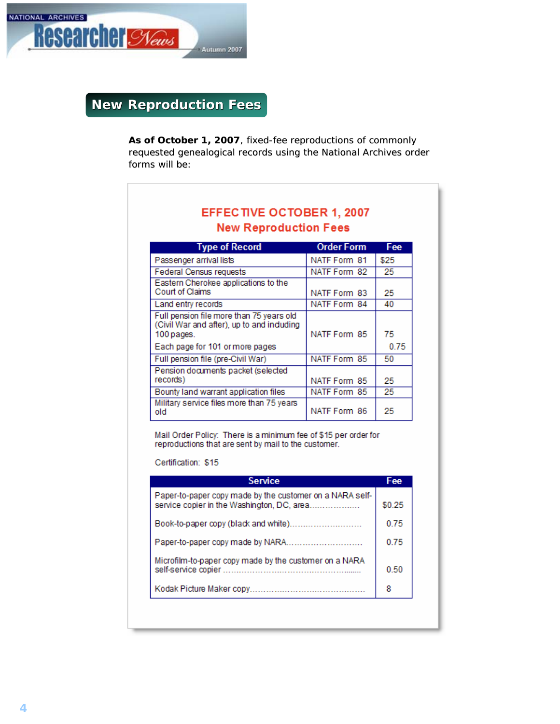

**New Reproduction Fees** 

As of October 1, 2007, fixed-fee reproductions of commonly requested genealogical records using the National Archives order forms will be:

| <b>New Reproduction Fees</b>                                                                                                           |                   |            |  |
|----------------------------------------------------------------------------------------------------------------------------------------|-------------------|------------|--|
| <b>Type of Record</b>                                                                                                                  | <b>Order Form</b> | Fee        |  |
| Passenger arrival lists                                                                                                                | NATF Form 81      | \$25       |  |
| Federal Census requests                                                                                                                | NATF Form 82      | 25         |  |
| Eastern Cherokee applications to the<br>Court of Claims                                                                                | NATF Form 83      | 25         |  |
| Land entry records                                                                                                                     | NATF Form 84      | 40         |  |
| Full pension file more than 75 years old<br>(Civil War and after), up to and induding<br>100 pages.<br>Each page for 101 or more pages | NATE Form 85      | 75<br>0.75 |  |
| Full pension file (pre-Civil War)                                                                                                      | NATF Form 85      | 50         |  |
| Pension documents packet (selected<br>records)                                                                                         | NATF Form 85      | 25         |  |
| Bounty land warrant application files                                                                                                  | NATF Form 85      | 25.        |  |
| Military service files more than 75 years<br>old                                                                                       | NATF Form 86      | 25         |  |

Mail Order Policy: There is a minimum fee of \$15 per order for<br>reproductions that are sent by mail to the customer.

Certification: \$15

| <b>Service</b>                                                                                         | Fee    |
|--------------------------------------------------------------------------------------------------------|--------|
| Paper-to-paper copy made by the customer on a NARA self-<br>service copier in the Washington, DC, area | \$0.25 |
| Book-to-paper copy (black and white)                                                                   | 0.75   |
|                                                                                                        | 0.75   |
| Microfilm-to-paper copy made by the customer on a NARA                                                 | 0.50   |
|                                                                                                        | 8      |
|                                                                                                        |        |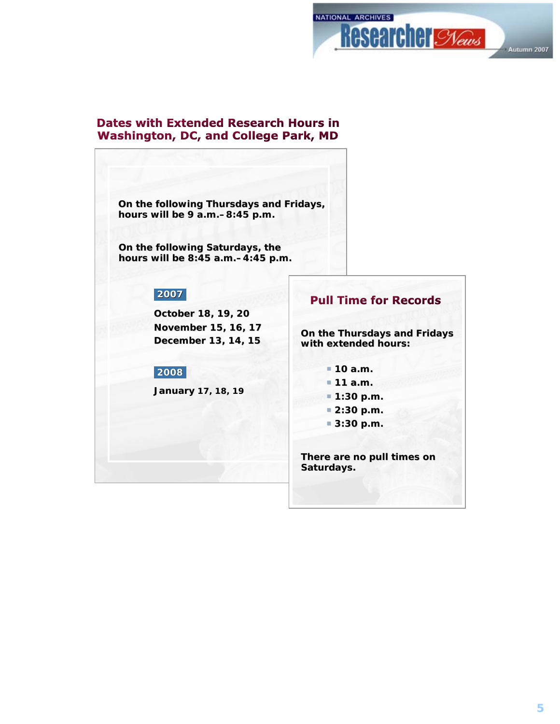

### **Dates with Extended Research Hours in Washington, DC, and College Park, MD**

**On the following Thursdays and Fridays, hours will be 9 a.m. hours will be 9 a.m.–8:45 p.m. 8:45 p.m.**

**On the following Saturdays, the hours will be 8:45 a.m. will be 8:45 a.m.–4:45 p.m. 4:45 p.m.**

### **2007**

**October 18, 19, 20 November 15, 16, 17 December 13, 14, 15 December 13, 14, 15** 

#### **2008**

**January January 17, 18, 19**

### **Pull Time for Records**

**On the Thursdays and Fridays with extended hours:**

- **10 a.m. 10 a.m.**
- **11 a.m. 11 a.m.**
- **1:30 p.m. 1:30 p.m.**
- **2:30 p.m. 2:30 p.m.**
- **3:30 p.m. 3:30 p.m.**

There are no pull times on **Saturdays.**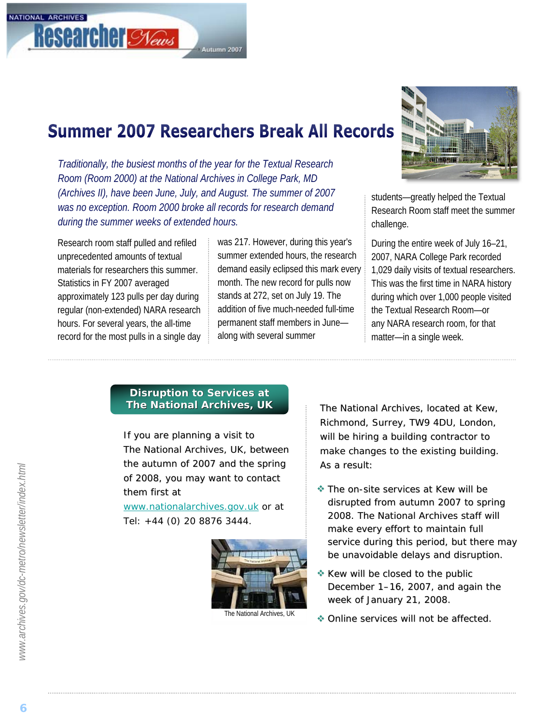# **Summer 2007 Researchers Break All Records**

Autumn 2007

*Traditionally, the busiest months of the year for the Textual Research Room (Room 2000) at the National Archives in College Park, MD (Archives II), have been June, July, and August. The summer of 2007 was no exception. Room 2000 broke all records for research demand during the summer weeks of extended hours.* 

Research room staff pulled and refiled unprecedented amounts of textual materials for researchers this summer. Statistics in FY 2007 averaged approximately 123 pulls per day during regular (non-extended) NARA research hours. For several years, the all-time record for the most pulls in a single day was 217. However, during this year's summer extended hours, the research demand easily eclipsed this mark every month. The new record for pulls now stands at 272, set on July 19. The addition of five much-needed full-time permanent staff members in June along with several summer



students—greatly helped the Textual Research Room staff meet the summer challenge.

During the entire week of July 16–21, 2007, NARA College Park recorded 1,029 daily visits of textual researchers. This was the first time in NARA history during which over 1,000 people visited the Textual Research Room—or any NARA research room, for that matter—in a single week.

### **Disruption to Services at The National Archives, UK**

If you are planning a visit to The National Archives, UK, between the autumn of 2007 and the spring of 2008, you may want to contact them first at

*[www.nationalarchives.gov.uk](http://www.nationalarchives.gov.uk/)* or at Tel: +44 (0) 20 8876 3444.



The National Archives, located at Kew, Richmond, Surrey, TW9 4DU, London, will be hiring a building contractor to make changes to the existing building. As a result:

- **\*** The on-site services at Kew will be disrupted from autumn 2007 to spring 2008. The National Archives staff will make every effort to maintain full service during this period, but there may be unavoidable delays and disruption.
- $\triangleq$  Kew will be closed to the public December  $1-16$ , 2007, and again the week of January 21, 2008.
- $\bullet$  Online services will not be affected.

NATIONAL ARCHIVES

**Researcher Stews**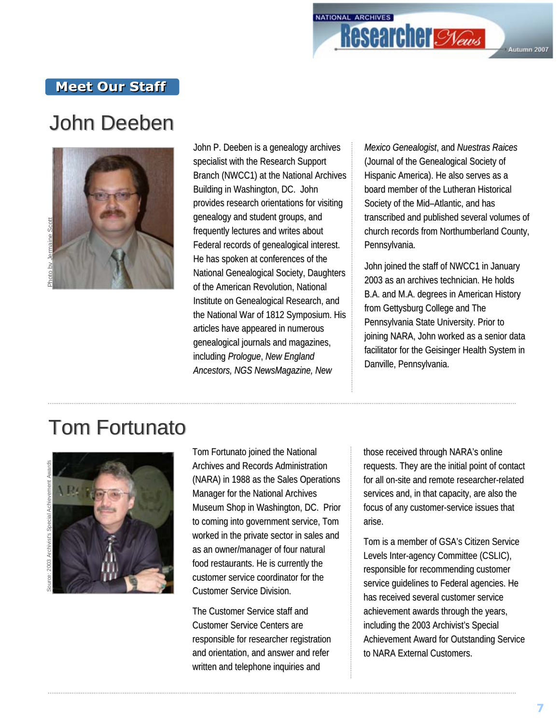# NATIONAL ARCHIVES **Researcher Slews** Autumn 2007

### **Meet Our Staff**

# John Deeben John Deeben



John P. Deeben is a genealogy archives specialist with the Research Support Branch (NWCC1) at the National Archives Building in Washington, DC. John provides research orientations for visiting genealogy and student groups, and frequently lectures and writes about Federal records of genealogical interest. He has spoken at conferences of the National Genealogical Society, Daughters of the American Revolution, National Institute on Genealogical Research, and the National War of 1812 Symposium. His articles have appeared in numerous genealogical journals and magazines, *including Prologue, New England Ancestors, NGS NewsMagazine, New Ancestors, NGS NewsMagazine, New* 

*Mexico Genealogist Mexico Genealogist*, and *Nuestras Raices Nuestras Raices* (Journal of the Genealogical Society of (Journal of the Genealogical Society of Hispanic America). He also serves as a a board member of the Lutheran Historical Society of the Mid–Atlantic, and has transcribed and published several volumes of transcribed and published several volumes of church records from Northumberland County, Pennsylvania.

John joined the staff of NWCC1 in January John joined the staff of NWCC1 in January 2003 as an archives technician. He holds B.A. and M.A. degrees in American History from Gettysburg College and The Pennsylvania State University. Prior to joining NARA, John worked as a senior data facilitator for the Geisinger Health System in Danville, Pennsylvania.

# **Tom Fortunato**



Tom Fortunato joined the National Archives and Records Administration (NARA) in 1988 as the Sales Operations (NARA) in 1988 as the Sales Operations Manager for the National Archives Museum Shop in Washington, DC. Prior to coming into government service, Tom worked in the private sector in sales and as an owner/manager of four natural food restaurants. He is currently the customer service coordinator for the Customer Service Division.

The Customer Service staff and Customer Service Centers are responsible for researcher registration and orientation, and answer and refer written and telephone inquiries and

those received through NARA's online requests. They are the initial point of contact requests. They are the initial point of contact for all on-site and remote researcher-related services and, in that capacity, are also the focus of any customer-service issues that arise.

Tom is a member of GSA's Citizen Service Levels Inter-agency Committee (CSLIC), responsible for recommending customer service quidelines to Federal agencies. He has received several customer service achievement awards through the years, including the 2003 Archivist's Special Achievement Award for Outstanding Service to NARA External Customers.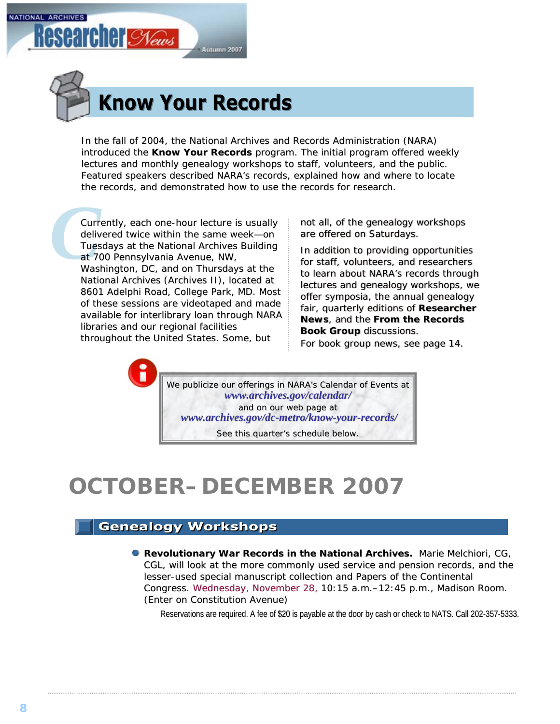



In the fall of 2004, the National Archives and Records Administration (NARA) introduced the **Know Your Records** program. The initial program offered weekly lectures and monthly genealogy workshops to staff, volunteers, and the public. Featured speakers described NARA's records, explained how and where to locate the records, and demonstrated how to use the records for research.

**Curr**<br>deliv<br>Tues<br>at 7(<br>Was) Currently, each one-hour lecture is usually delivered twice within the same week—on Tuesdays at the National Archives Building at 700 Pennsylvania Avenue, NW,

Washington, DC, and on Thursdays at the National Archives (Archives II), located at 8601 Adelphi Road, College Park, MD. Most of these sessions are videotaped and made available for interlibrary loan through NARA libraries and our regional facilities throughout the United States. Some, but

not all, of the genealogy workshops are offered on Saturdays.

In addition to providing opportunities for staff, volunteers, and researchers to learn about NARA's records through lectures and genealogy workshops, we offer symposia, the annual genealogy fair, quarterly editions of *Researcher*  fair, quarterly editions of *Researcher*<br>*News*, and the From the Records **Book Group** discussions.

*For book group news, [see page 14.](#page-13-0)* 

We publicize our offerings in NARA's *Calendar of Events* at *www.archiv [www.archives.gov/calendar/](http://www.archives.gov/calendar/) es.gov/calendar/* and on our web page at *www.archiv www.archives.gov/dc [es.gov/dc-metro/know-your-records/](http://www.archives.gov/dc-metro/know-your-records/) records/*

See this quarter's schedule below.

# **OCTOBER–DECEMBER 2007**

### **Genealogy Workshops**

**Revolutionary War Records in the National Archives.** Marie Melchiori, CG, electionary War Records in the National Archives. CGL, will look at the more commonly used service and pension records, and the lesser-used special manuscript collection and Papers of the Continental Congress. Wednesday, November 28, 10:15 a.m.–12:45 p.m., Madison Room. (Enter on Constitution Avenue)

Reservations are required. A fee of \$20 is payable at the door by cash or check to NATS. Call 202-357-5333.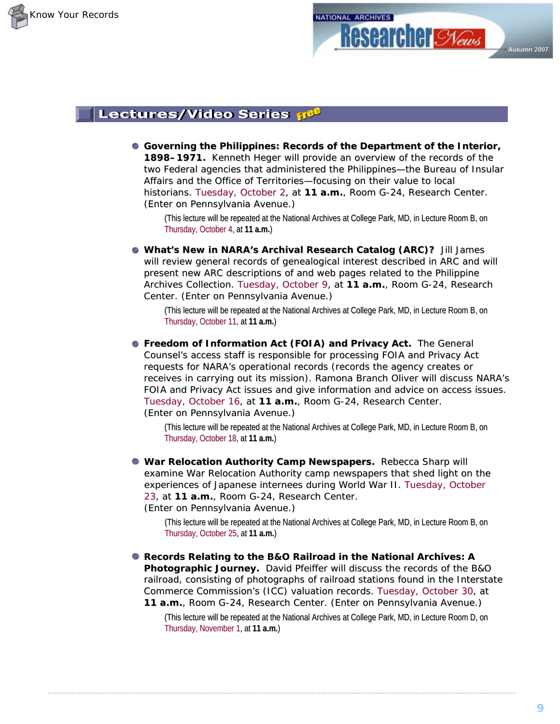



### Lectures/Video Series 38

**Governing the Philippines: Records of the Department of the Interior, 1898–1971.** Kenneth Heger will provide an overview of the records of the two Federal agencies that administered the Philippines—the Bureau of Insular Affairs and the Office of Territories-focusing on their value to local historians. Tuesday, October 2, at **11 a.m.**, Room G-24, Research Center. (Enter on Pennsylvania Avenue.)

(This lecture will be repeated at the National Archives at College Park, MD, in Lecture Room B, on Thursday, October 4, at **11 a.m. a.m.**)

**. What's New in NARA's Archival Research Catalog (ARC)?** Jill James will review general records of genealogical interest described in ARC and will present new ARC descriptions of and web pages related to the Philippine Archives Collection. Tuesday, October 9, at 11 a.m., Room G-24, Research Center. (Enter on Pennsylvania Avenue.)

(This lecture will be repeated at the National Archives at College Park, MD, in Lecture Room B, on Thursday, October 11, at **11 a.m. 11 a.m.**)

**• Freedom of Information Act (FOIA) and Privacy Act.** The General Counsel's access staff is responsible for processing FOIA and Privacy Act requests for NARA's operational records (records the agency creates or receives in carrying out its mission). Ramona Branch Oliver will discuss NARA's FOIA and Privacy Act issues and give information and advice on access issues. Tuesday, October 16, at 11 a.m., Room G-24, Research Center. (Enter on Pennsylvania Avenue.)

(This lecture will be repeated at the National Archives at College Park, MD, in Lecture Room B, on Thursday, October 18, at **11 a.m. 11 a.m.**)

**War Relocation Authority Camp Newspapers.** Rebecca Sharp will examine War Relocation Authority camp newspapers that shed light on the experiences of Japanese internees during World War II. Tuesday, October 23, at **11 a.m.**, Room G-24, Research Center. (Enter on Pennsylvania Avenue.) (Enter on Pennsylvania Avenue.)

(This lecture will be repeated at the National Archives at College Park, MD, in Lecture Room B, on Thursday, October 25, at **11 a.m. 11** )

**Records Relating to the B&O Railroad in the National Archives: A** Photographic Journey. David Pfeiffer will discuss the records of the B&O railroad, consisting of photographs of railroad stations found in the Interstate Commerce Commission's (ICC) valuation records. Tuesday, October 30, at **11 a.m.**, Room G-24, Research Center. (Enter on Pennsylvania Avenue.)

(This lecture will be repeated at the National Archives at College Park, MD, in Lecture Room D, on Thursday, November 1, at **11 a.m. 11 a.m.**)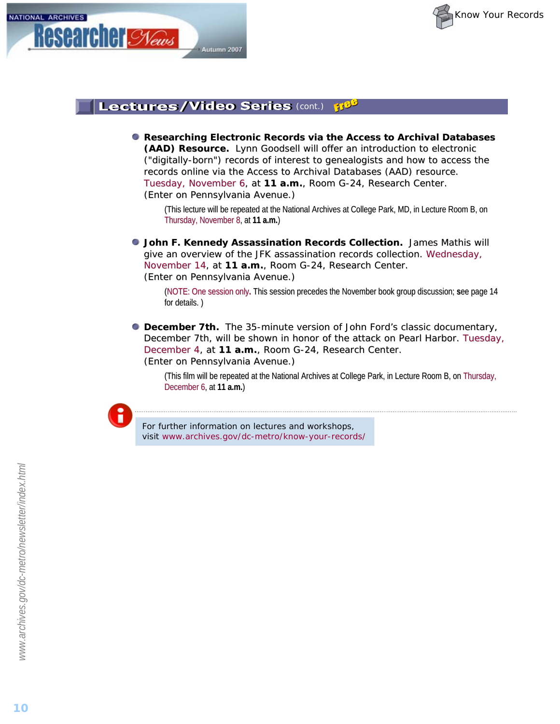



#### Lectures/Video Series (cont.) **TIGS**

**Researching Electronic Records via the Access to Archival Databases (AAD) Resource.** Lynn Goodsell will offer an introduction to electronic ("digitally-born") records of interest to genealogists and how to access the born") records of interest to genealogists and how to access the records online via the Access to Archival Databases (AAD) resource. Tuesday, November 6, at 11 a.m., Room G-24, Research Center. (Enter on Pennsylvania Avenue.)

(This lecture will be repeated at the National Archives at College Park, MD, in Lecture Room B, on Thursday, November 8, at **11 a.m. 11 a.m.**)

**John F. Kennedy Assassination Records Collection.** James Mathis will give an overview of the JFK assassination records collection. Wednesday, November 14, at 11 a.m., Room G-24, Research Center. (Enter on Pennsylvania Avenue.)

(NOTE: One session only. This session precedes the November book group discussion; see page 14 for details.)

*December 7th.* The 35-minute version of John Ford's classic documentary, *December 7th*, will be shown in honor of the attack on Pearl Harbor. Tuesday, December 4, at 11 a.m., Room G-24, Research Center. (Enter on Pennsylvania Avenue.) (Enter on Pennsylvania Avenue.)

(This film will be repeated at the National Archives at College Park, in Lecture Room B, on Thursday, December 6, at **11 a.m. a.m.**)



For further information on lectures and workshops, visit *www.archives.gov/dc-metro/know-your-records/*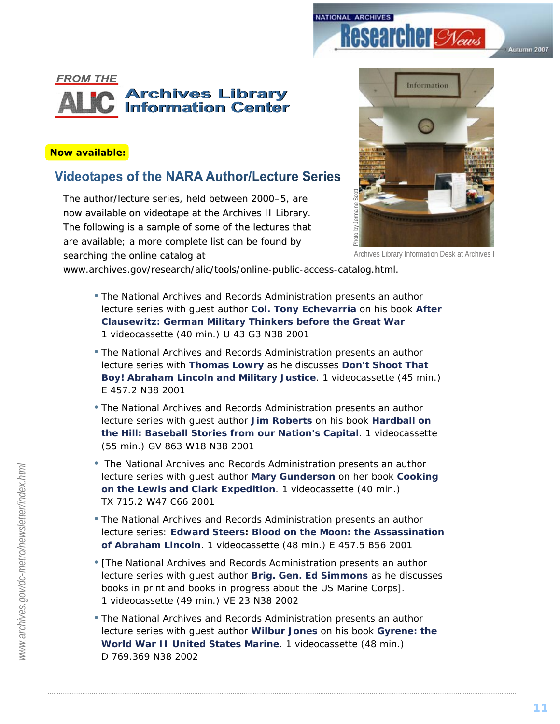



### **Now available:**

### **Videotapes of the NARA Author/Lecture Series**

The author/lecture series, held between 2000–5, are now available on videotape at the Archives II Library. The following is a sample of some of the lectures that are available; a more complete list can be found by searching the online catalog at



Archives Library Information Desk at Archives I

*www.archives.gov/research/alic/tools/online-public-access-catalog.html. catalog.html.*

- The National Archives and Records Administration presents an author lecture series with guest author **Col. Tony Echevarria** on his book *After Clausewitz: German Military Thinkers before the Great War*. 1 videocassette (40 min.) U 43 G3 N38 2001
- The National Archives and Records Administration presents an author lecture series with **Thomas Lowry** as he discusses *Don't Shoot That Boy! Abraham Lincoln and Military Justice*. 1 videocassette (45 min.) E 457.2 N38 2001
- The National Archives and Records Administration presents an author lecture series with guest author **Jim Roberts** on his book *Hardball on the Hill: Baseball Stories from our Nation's Capital*. 1 videocassette (55 min.) GV 863 W18 N38 2001
- The National Archives and Records Administration presents an author lecture series with guest author **Mary Gunderson** on her book *Cooking on the Lewis and Clark Expedition*. 1 videocassette (40 min.) TX 715.2 W47 C66 2001
- The National Archives and Records Administration presents an author lecture series: **Edward Steers:** *Blood on the Moon: the Assassination of Abraham Lincoln*. 1 videocassette (48 min.) E 457.5 B56 2001
- [The National Archives and Records Administration presents an author lecture series with guest author **Brig. Gen. Ed Simmons** as he discusses books in print and books in progress about the US Marine Corps]. 1 videocassette (49 min.) VE 23 N38 2002
- The National Archives and Records Administration presents an author lecture series with guest author **Wilbur Jones** on his book *Gyrene: the World War II United States Marine*. 1 videocassette (48 min.) D 769.369 N38 2002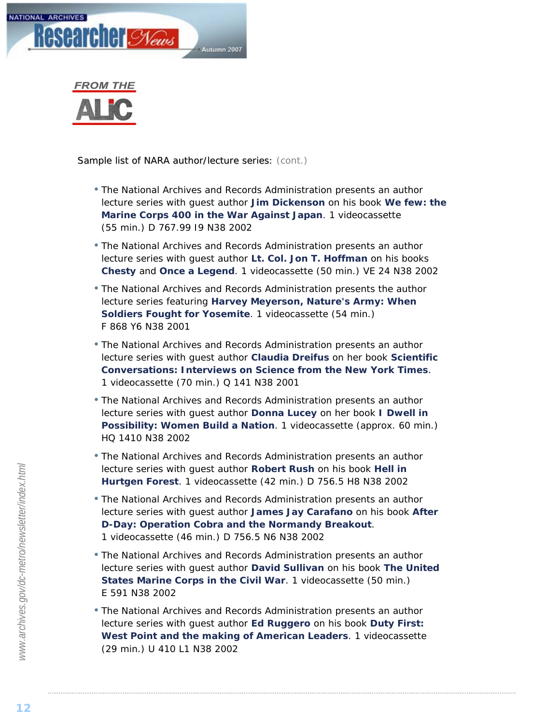



Sample list of NARA author/lecture series: (cont.)

- The National Archives and Records Administration presents an author lecture series with guest author **Jim Dickenson** on his book *We few: the Marine Corps 400 in the War Against Japan*. 1 videocassette (55 min.) D 767.99 I9 N38 2002
- The National Archives and Records Administration presents an author lecture series with guest author **Lt. Col. Jon T. Hoffman** on his books *Chesty* and *Once a Legend*. 1 videocassette (50 min.) VE 24 N38 2002
- The National Archives and Records Administration presents the author lecture series featuring **Harvey Meyerson,** *Nature's Army: When Soldiers Fought for Yosemite*. 1 videocassette (54 min.) F 868 Y6 N38 2001
- The National Archives and Records Administration presents an author lecture series with guest author **Claudia Dreifus** on her book *Scientific Conversations: Interviews on Science from the New York Times*. 1 videocassette (70 min.) Q 141 N38 2001
- The National Archives and Records Administration presents an author lecture series with guest author **Donna Lucey** on her book *I Dwell in Possibility: Women Build a Nation*. 1 videocassette (approx. 60 min.) HQ 1410 N38 2002
- The National Archives and Records Administration presents an author lecture series with guest author **Robert Rush** on his book *Hell in Hurtgen Forest*. 1 videocassette (42 min.) D 756.5 H8 N38 2002
- The National Archives and Records Administration presents an author lecture series with guest author **James Jay Carafano** on his book *After D-Day: Operation Cobra and the Normandy Breakout*. 1 videocassette (46 min.) D 756.5 N6 N38 2002
- The National Archives and Records Administration presents an author lecture series with guest author **David Sullivan** on his book *The United States Marine Corps in the Civil War*. 1 videocassette (50 min.) E 591 N38 2002
- The National Archives and Records Administration presents an author lecture series with guest author **Ed Ruggero** on his book *Duty First: West Point and the making of American Leaders*. 1 videocassette (29 min.) U 410 L1 N38 2002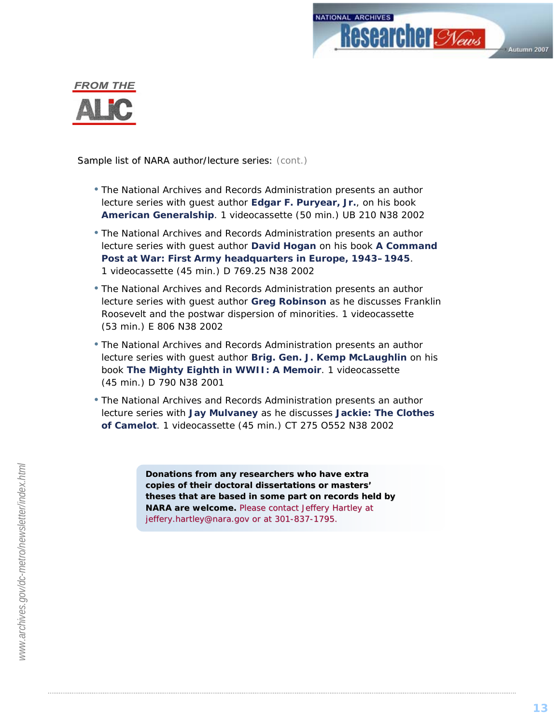



Sample list of NARA author/lecture series: (cont.)

- The National Archives and Records Administration presents an author lecture series with guest author **Edgar F. Puryear, Jr.**, on his book *American Generalship*. 1 videocassette (50 min.) UB 210 N38 2002
- The National Archives and Records Administration presents an author lecture series with guest author **David Hogan** on his book *A Command Post at War: First Army headquarters in Europe, 1943–1945*. 1 videocassette (45 min.) D 769.25 N38 2002
- The National Archives and Records Administration presents an author lecture series with guest author **Greg Robinson** as he discusses Franklin Roosevelt and the postwar dispersion of minorities. 1 videocassette (53 min.) E 806 N38 2002
- The National Archives and Records Administration presents an author lecture series with guest author **Brig. Gen. J. Kemp McLaughlin** on his book *The Mighty Eighth in WWII: A Memoir*. 1 videocassette (45 min.) D 790 N38 2001
- The National Archives and Records Administration presents an author lecture series with **Jay Mulvaney** as he discusses *Jackie: The Clothes of Camelot*. 1 videocassette (45 min.) CT 275 O552 N38 2002

*Donations from any researchers who have extra copies of their doctoral dissertations or masters' copies of their doctoral dissertations or masters' theses that are based in some part on records held by theses that are on records held by NARA are welcome. NARA welcome. Please contact Jeffery Hartley at Jeffery Hartley at jeffery.hartley@nara.gov or at 301-837-1795.*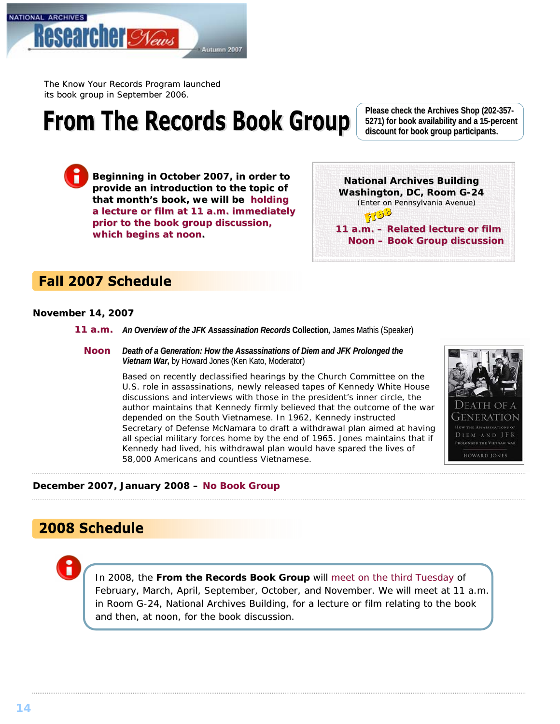<span id="page-13-0"></span>

The *Know Your Records Program* launched its book group in September 2006.

# **From The Records Book Group**

Beginning in October 2007, in order to provide an introduction to the topic of that month's book, we will be holding a lecture or film at 11 a.m. immediately **prior to the book group discussion, prior the book discussion, which begins at noon.**

**Please check the Archives Shop (202-357- 5271) for book availability and a 15-percent percent discount for book group participants. discount for book group participants.**

**National Archives Building Washington, DC, Room G-24**  *(Enter on Pennsylvania Avenue)* 3190 11 a.m. - Related lecture or film **Noon –Book Group discussion**

### **Fall 2007 Schedule**

#### **November 14, 2007**

- 11 a.m. An Overview of the JFK Assassination Records Collection, James Mathis (Speaker)
	- *Death of a Generation: How the Assassinations of Diem and JFK Prolonged the Vietnam War*, by Howard Jones (Ken Kato, Moderator) **Noon**

Based on recently declassified hearings by the Church Committee on the U.S. role in assassinations, newly released tapes of Kennedy White House discussions and interviews with those in the president's inner circle, the author maintains that Kennedy firmly believed that the outcome of the war depended on the South Vietnamese. In 1962, Kennedy instructed Secretary of Defense McNamara to draft a withdrawal plan aimed at having all special military forces home by the end of 1965. Jones maintains that if Kennedy had lived, his withdrawal plan would have spared the lives of 58,000 Americans and countless Vietnamese.



#### December 2007, January 2008 – No Book Group

### 2008 Schedule

In 2008, the From the Records Book Group will meet on the third Tuesday of February, March, April, September, October, and November. We will meet at 11 a.m. in Room G-24, National Archives Building, for a lecture or film relating to the book and then, at noon, for the book discussion.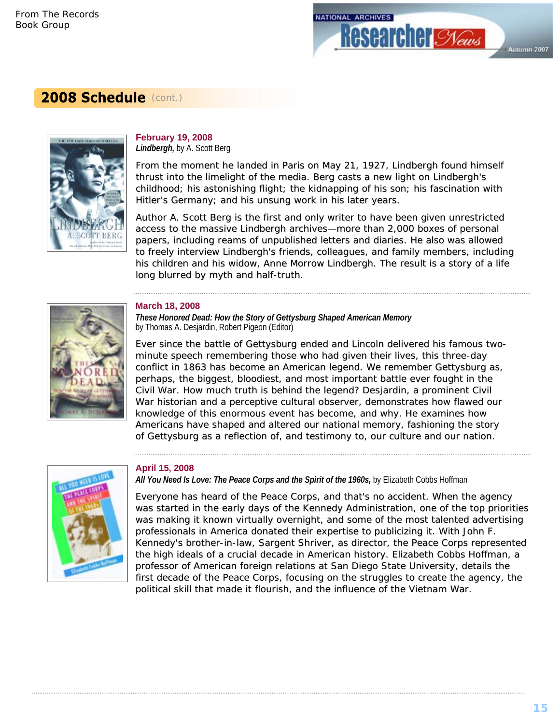

### 2008 Schedule (cont.)



#### *Lindbergh,* by A. Scott Berg **February 19, 2008**

From the moment he landed in Paris on May 21, 1927, Lindbergh found himself thrust into the limelight of the media. Berg casts a new light on Lindbergh's childhood; his astonishing flight; the kidnapping of his son; his fascination with Hitler's Germany; and his unsung work in his later years.

Author A. Scott Berg is the first and only writer to have been given unrestricted access to the massive Lindbergh archives—more than 2,000 boxes of personal papers, including reams of unpublished letters and diaries. He also was allowed to freely interview Lindbergh's friends, colleagues, and family members, including his children and his widow, Anne Morrow Lindbergh. The result is a story of a life long blurred by myth and half-truth.



### **March 18, 2008**

*These Honored Dead: How the Story of Gettysburg Shaped American Memory*  by Thomas A. Desjardin, Robert Pigeon (Editor)

Ever since the battle of Gettysburg ended and Lincoln delivered his famous twominute speech remembering those who had given their lives, this three-day conflict in 1863 has become an American legend. We remember Gettysburg as, perhaps, the biggest, bloodiest, and most important battle ever fought in the Civil War. How much truth is behind the legend? Desjardin, a prominent Civil War historian and a perceptive cultural observer, demonstrates how flawed our knowledge of this enormous event has become, and why. He examines how Americans have shaped and altered our national memory, fashioning the story of Gettysburg as a reflection of, and testimony to, our culture and our nation.



#### **April 15, 2008**

All You Need Is Love: The Peace Corps and the Spirit of the 1960s, by Elizabeth Cobbs Hoffman

Everyone has heard of the Peace Corps, and that's no accident. When the agency was started in the early days of the Kennedy Administration, one of the top priorities was making it known virtually overnight, and some of the most talented advertising professionals in America donated their expertise to publicizing it. With John F. Kennedy's brother-in-law, Sargent Shriver, as director, the Peace Corps represented the high ideals of a crucial decade in American history. Elizabeth Cobbs Hoffman, a professor of American foreign relations at San Diego State University, details the first decade of the Peace Corps, focusing on the struggles to create the agency, the political skill that made it flourish, and the influence of the Vietnam War.